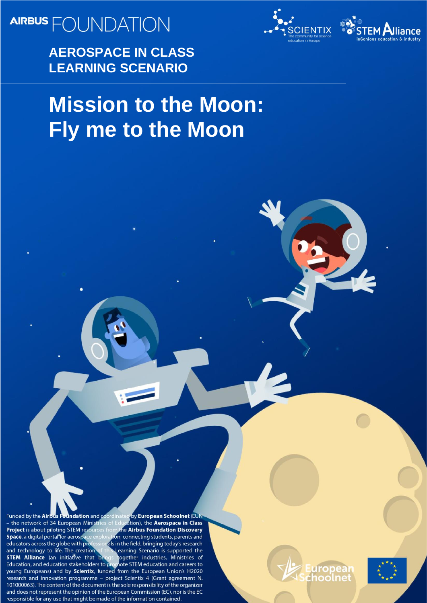**AIRBUS** FOUNDATION

**AEROSPACE IN CLASS LEARNING SCENARIO**



# **Mission to the Moon: Fly me to the Moon**

Funded by the Airbus Foundation and coordina by European Schoolnet (EUN ation), the Aerospace in Class - the network of 34 European Ministria the Airbus Foundation Discovery **Project** is about piloting STEM resour Space, a digital portal for aerospace on, connecting students, parents and educators across the globe with pro als in the field, bringing today's research and technology to life. The creation Learning Scenario is supported the **STEM Alliance** (an initiative that bri together industries, Ministries of Education, and education stakeholders to p note STEM education and careers to young Europeans) and by Scientix, funded from the European Union's H2020 research and innovation programme - project Scientix 4 (Grant agreement N. 101000063). The content of the document is the sole responsibility of the organizer and does not represent the opinion of the European Commission (EC), nor is the EC responsible for any use that might be made of the information contained.



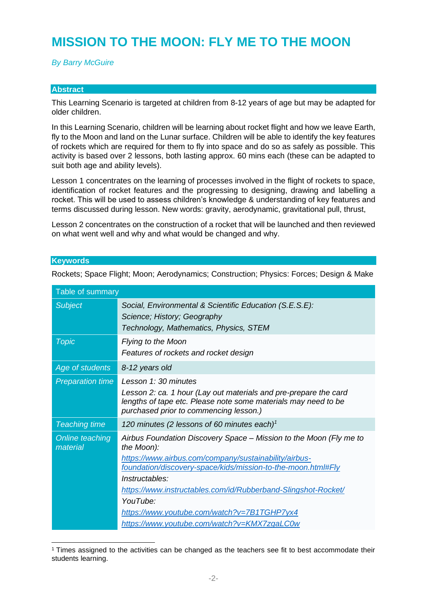## **MISSION TO THE MOON: FLY ME TO THE MOON**

#### *By Barry McGuire*

#### **Abstract**

This Learning Scenario is targeted at children from 8-12 years of age but may be adapted for older children.

In this Learning Scenario, children will be learning about rocket flight and how we leave Earth, fly to the Moon and land on the Lunar surface. Children will be able to identify the key features of rockets which are required for them to fly into space and do so as safely as possible. This activity is based over 2 lessons, both lasting approx. 60 mins each (these can be adapted to suit both age and ability levels).

Lesson 1 concentrates on the learning of processes involved in the flight of rockets to space, identification of rocket features and the progressing to designing, drawing and labelling a rocket. This will be used to assess children's knowledge & understanding of key features and terms discussed during lesson. New words: gravity, aerodynamic, gravitational pull, thrust,

Lesson 2 concentrates on the construction of a rocket that will be launched and then reviewed on what went well and why and what would be changed and why.

#### **Keywords**

| Table of summary            |                                                                                                                                                                                                                                                                                                                                                                                                        |
|-----------------------------|--------------------------------------------------------------------------------------------------------------------------------------------------------------------------------------------------------------------------------------------------------------------------------------------------------------------------------------------------------------------------------------------------------|
| <b>Subject</b>              | Social, Environmental & Scientific Education (S.E.S.E):<br>Science; History; Geography<br>Technology, Mathematics, Physics, STEM                                                                                                                                                                                                                                                                       |
| <b>Topic</b>                | <b>Flying to the Moon</b><br>Features of rockets and rocket design                                                                                                                                                                                                                                                                                                                                     |
| Age of students             | 8-12 years old                                                                                                                                                                                                                                                                                                                                                                                         |
| <b>Preparation time</b>     | Lesson 1: 30 minutes<br>Lesson 2: ca. 1 hour (Lay out materials and pre-prepare the card<br>lengths of tape etc. Please note some materials may need to be<br>purchased prior to commencing lesson.)                                                                                                                                                                                                   |
| <b>Teaching time</b>        | 120 minutes (2 lessons of 60 minutes each) <sup>1</sup>                                                                                                                                                                                                                                                                                                                                                |
| Online teaching<br>material | Airbus Foundation Discovery Space - Mission to the Moon (Fly me to<br>the Moon):<br>https://www.airbus.com/company/sustainability/airbus-<br>foundation/discovery-space/kids/mission-to-the-moon.html#Fly<br>Instructables:<br>https://www.instructables.com/id/Rubberband-Slingshot-Rocket/<br>YouTube:<br>https://www.youtube.com/watch?v=7B1TGHP7yx4<br>https://www.youtube.com/watch?v=KMX7zgaLC0w |

Rockets; Space Flight; Moon; Aerodynamics; Construction; Physics: Forces; Design & Make

<sup>&</sup>lt;sup>1</sup> Times assigned to the activities can be changed as the teachers see fit to best accommodate their students learning.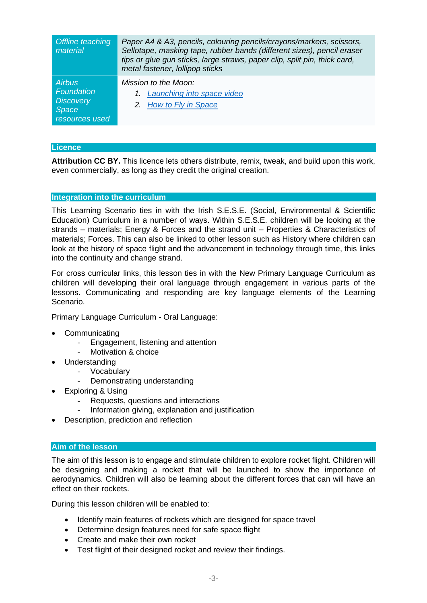| Offline teaching<br>material                                                      | Paper A4 & A3, pencils, colouring pencils/crayons/markers, scissors,<br>Sellotape, masking tape, rubber bands (different sizes), pencil eraser<br>tips or glue gun sticks, large straws, paper clip, split pin, thick card,<br>metal fastener, lollipop sticks |  |
|-----------------------------------------------------------------------------------|----------------------------------------------------------------------------------------------------------------------------------------------------------------------------------------------------------------------------------------------------------------|--|
| <b>Airbus</b><br>Foundation<br><b>Discovery</b><br><b>Space</b><br>resources used | Mission to the Moon:<br>1. Launching into space video<br>2. How to Fly in Space                                                                                                                                                                                |  |

#### **Licence**

**Attribution CC BY.** This licence lets others distribute, remix, tweak, and build upon this work, even commercially, as long as they credit the original creation.

#### **Integration into the curriculum**

This Learning Scenario ties in with the Irish S.E.S.E. (Social, Environmental & Scientific Education) Curriculum in a number of ways. Within S.E.S.E. children will be looking at the strands – materials; Energy & Forces and the strand unit – Properties & Characteristics of materials; Forces. This can also be linked to other lesson such as History where children can look at the history of space flight and the advancement in technology through time, this links into the continuity and change strand.

For cross curricular links, this lesson ties in with the New Primary Language Curriculum as children will developing their oral language through engagement in various parts of the lessons. Communicating and responding are key language elements of the Learning Scenario.

Primary Language Curriculum - Oral Language:

- Communicating
	- Engagement, listening and attention
	- Motivation & choice
- Understanding
	- Vocabulary
	- Demonstrating understanding
- Exploring & Using
	- Requests, questions and interactions
	- Information giving, explanation and justification
- Description, prediction and reflection

#### **Aim of the lesson**

The aim of this lesson is to engage and stimulate children to explore rocket flight. Children will be designing and making a rocket that will be launched to show the importance of aerodynamics. Children will also be learning about the different forces that can will have an effect on their rockets.

During this lesson children will be enabled to:

- Identify main features of rockets which are designed for space travel
- Determine design features need for safe space flight
- Create and make their own rocket
- Test flight of their designed rocket and review their findings.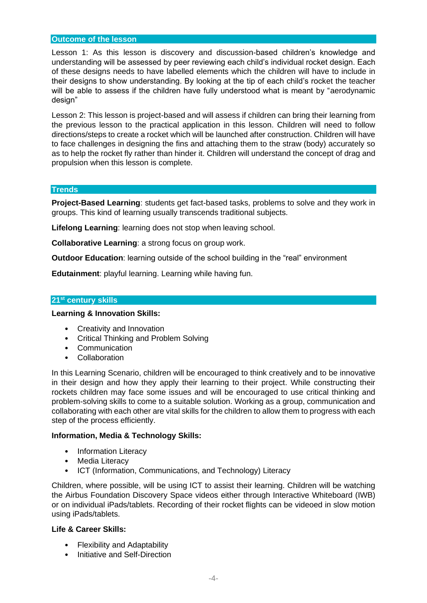#### **Outcome of the lesson**

Lesson 1: As this lesson is discovery and discussion-based children's knowledge and understanding will be assessed by peer reviewing each child's individual rocket design. Each of these designs needs to have labelled elements which the children will have to include in their designs to show understanding. By looking at the tip of each child's rocket the teacher will be able to assess if the children have fully understood what is meant by "aerodynamic design"

Lesson 2: This lesson is project-based and will assess if children can bring their learning from the previous lesson to the practical application in this lesson. Children will need to follow directions/steps to create a rocket which will be launched after construction. Children will have to face challenges in designing the fins and attaching them to the straw (body) accurately so as to help the rocket fly rather than hinder it. Children will understand the concept of drag and propulsion when this lesson is complete.

#### **Trends**

**Project-Based Learning**: students get fact-based tasks, problems to solve and they work in groups. This kind of learning usually transcends traditional subjects.

**Lifelong Learning**: learning does not stop when leaving school.

**Collaborative Learning**: a strong focus on group work.

**Outdoor Education**: learning outside of the school building in the "real" environment

**Edutainment**: playful learning. Learning while having fun.

#### **21st century skills**

#### **Learning & Innovation Skills:**

- Creativity and Innovation
- Critical Thinking and Problem Solving
- Communication
- Collaboration

In this Learning Scenario, children will be encouraged to think creatively and to be innovative in their design and how they apply their learning to their project. While constructing their rockets children may face some issues and will be encouraged to use critical thinking and problem-solving skills to come to a suitable solution. Working as a group, communication and collaborating with each other are vital skills for the children to allow them to progress with each step of the process efficiently.

#### **Information, Media & Technology Skills:**

- Information Literacy
- Media Literacy
- ICT (Information, Communications, and Technology) Literacy

Children, where possible, will be using ICT to assist their learning. Children will be watching the Airbus Foundation Discovery Space videos either through Interactive Whiteboard (IWB) or on individual iPads/tablets. Recording of their rocket flights can be videoed in slow motion using iPads/tablets.

#### **Life & Career Skills:**

- Flexibility and Adaptability
- Initiative and Self-Direction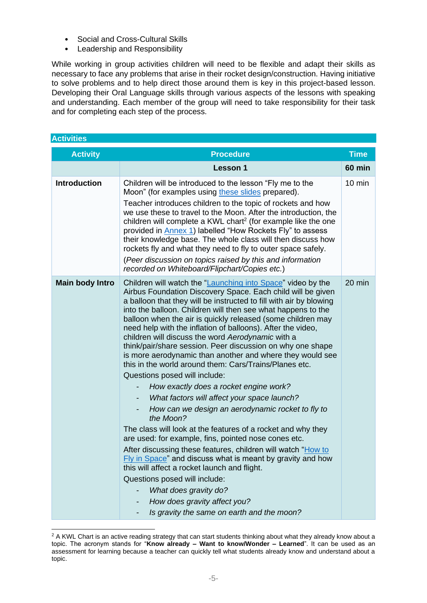- Social and Cross-Cultural Skills
- Leadership and Responsibility

While working in group activities children will need to be flexible and adapt their skills as necessary to face any problems that arise in their rocket design/construction. Having initiative to solve problems and to help direct those around them is key in this project-based lesson. Developing their Oral Language skills through various aspects of the lessons with speaking and understanding. Each member of the group will need to take responsibility for their task and for completing each step of the process.

| <b>Activities</b>      |                                                                                                                                                                                                                                                                                                                                                                                                                                                                                                                                                                                                                                                                                                                                                                                                                                                                                                                                                                                                                                                                                                                                                                                                                                                                                    |                  |
|------------------------|------------------------------------------------------------------------------------------------------------------------------------------------------------------------------------------------------------------------------------------------------------------------------------------------------------------------------------------------------------------------------------------------------------------------------------------------------------------------------------------------------------------------------------------------------------------------------------------------------------------------------------------------------------------------------------------------------------------------------------------------------------------------------------------------------------------------------------------------------------------------------------------------------------------------------------------------------------------------------------------------------------------------------------------------------------------------------------------------------------------------------------------------------------------------------------------------------------------------------------------------------------------------------------|------------------|
| <b>Activity</b>        | <b>Procedure</b>                                                                                                                                                                                                                                                                                                                                                                                                                                                                                                                                                                                                                                                                                                                                                                                                                                                                                                                                                                                                                                                                                                                                                                                                                                                                   | <b>Time</b>      |
|                        | <b>Lesson 1</b>                                                                                                                                                                                                                                                                                                                                                                                                                                                                                                                                                                                                                                                                                                                                                                                                                                                                                                                                                                                                                                                                                                                                                                                                                                                                    | <b>60 min</b>    |
| <b>Introduction</b>    | Children will be introduced to the lesson "Fly me to the<br>Moon" (for examples using these slides prepared).<br>Teacher introduces children to the topic of rockets and how<br>we use these to travel to the Moon. After the introduction, the<br>children will complete a KWL chart <sup>2</sup> (for example like the one<br>provided in <b>Annex 1</b> ) labelled "How Rockets Fly" to assess<br>their knowledge base. The whole class will then discuss how<br>rockets fly and what they need to fly to outer space safely.<br>(Peer discussion on topics raised by this and information<br>recorded on Whiteboard/Flipchart/Copies etc.)                                                                                                                                                                                                                                                                                                                                                                                                                                                                                                                                                                                                                                     | $10 \text{ min}$ |
| <b>Main body Intro</b> | Children will watch the "Launching into Space" video by the<br>Airbus Foundation Discovery Space. Each child will be given<br>a balloon that they will be instructed to fill with air by blowing<br>into the balloon. Children will then see what happens to the<br>balloon when the air is quickly released (some children may<br>need help with the inflation of balloons). After the video,<br>children will discuss the word Aerodynamic with a<br>think/pair/share session. Peer discussion on why one shape<br>is more aerodynamic than another and where they would see<br>this in the world around them: Cars/Trains/Planes etc.<br>Questions posed will include:<br>How exactly does a rocket engine work?<br>What factors will affect your space launch?<br>How can we design an aerodynamic rocket to fly to<br>the Moon?<br>The class will look at the features of a rocket and why they<br>are used: for example, fins, pointed nose cones etc.<br>After discussing these features, children will watch "How to<br>Fly in Space" and discuss what is meant by gravity and how<br>this will affect a rocket launch and flight.<br>Questions posed will include:<br>What does gravity do?<br>How does gravity affect you?<br>Is gravity the same on earth and the moon? | 20 min           |

<sup>&</sup>lt;sup>2</sup> A KWL Chart is an active reading strategy that can start students thinking about what they already know about a topic. The acronym stands for "**Know already – Want to know/Wonder – Learned**". It can be used as an assessment for learning because a teacher can quickly tell what students already know and understand about a topic.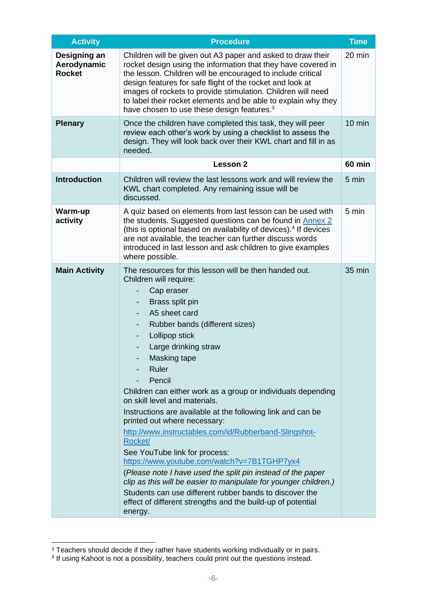| <b>Activity</b>                              | <b>Procedure</b>                                                                                                                                                                                                                                                                                                                                                                                                                                                                                                                                                                                                                                                                                                                                                                                                                                                                   |                  |  |
|----------------------------------------------|------------------------------------------------------------------------------------------------------------------------------------------------------------------------------------------------------------------------------------------------------------------------------------------------------------------------------------------------------------------------------------------------------------------------------------------------------------------------------------------------------------------------------------------------------------------------------------------------------------------------------------------------------------------------------------------------------------------------------------------------------------------------------------------------------------------------------------------------------------------------------------|------------------|--|
| Designing an<br>Aerodynamic<br><b>Rocket</b> | Children will be given out A3 paper and asked to draw their<br>rocket design using the information that they have covered in<br>the lesson. Children will be encouraged to include critical<br>design features for safe flight of the rocket and look at<br>images of rockets to provide stimulation. Children will need<br>to label their rocket elements and be able to explain why they<br>have chosen to use these design features. <sup>3</sup>                                                                                                                                                                                                                                                                                                                                                                                                                               |                  |  |
| <b>Plenary</b>                               | Once the children have completed this task, they will peer<br>review each other's work by using a checklist to assess the<br>design. They will look back over their KWL chart and fill in as<br>needed.                                                                                                                                                                                                                                                                                                                                                                                                                                                                                                                                                                                                                                                                            | $10 \text{ min}$ |  |
|                                              | Lesson 2                                                                                                                                                                                                                                                                                                                                                                                                                                                                                                                                                                                                                                                                                                                                                                                                                                                                           | <b>60 min</b>    |  |
| <b>Introduction</b>                          | Children will review the last lessons work and will review the<br>KWL chart completed. Any remaining issue will be<br>discussed.                                                                                                                                                                                                                                                                                                                                                                                                                                                                                                                                                                                                                                                                                                                                                   |                  |  |
| Warm-up<br>activity                          | A quiz based on elements from last lesson can be used with<br>the students. Suggested questions can be found in Annex 2<br>(this is optional based on availability of devices). <sup>4</sup> If devices<br>are not available, the teacher can further discuss words<br>introduced in last lesson and ask children to give examples<br>where possible.                                                                                                                                                                                                                                                                                                                                                                                                                                                                                                                              |                  |  |
| <b>Main Activity</b>                         | The resources for this lesson will be then handed out.<br>Children will require:<br>Cap eraser<br>Brass split pin<br>A5 sheet card<br>Rubber bands (different sizes)<br>Lollipop stick<br>-<br>Large drinking straw<br>Masking tape<br>Ruler<br>Pencil<br>Children can either work as a group or individuals depending<br>on skill level and materials.<br>Instructions are available at the following link and can be<br>printed out where necessary:<br>http://www.instructables.com/id/Rubberband-Slingshot-<br>Rocket/<br>See YouTube link for process:<br>https://www.youtube.com/watch?v=7B1TGHP7yx4<br>(Please note I have used the split pin instead of the paper<br>clip as this will be easier to manipulate for younger children.)<br>Students can use different rubber bands to discover the<br>effect of different strengths and the build-up of potential<br>energy. | 35 min           |  |

<sup>&</sup>lt;sup>3</sup> Teachers should decide if they rather have students working individually or in pairs.<br><sup>4</sup> If using Kahoot is not a possibility, teachers could print out the questions instead.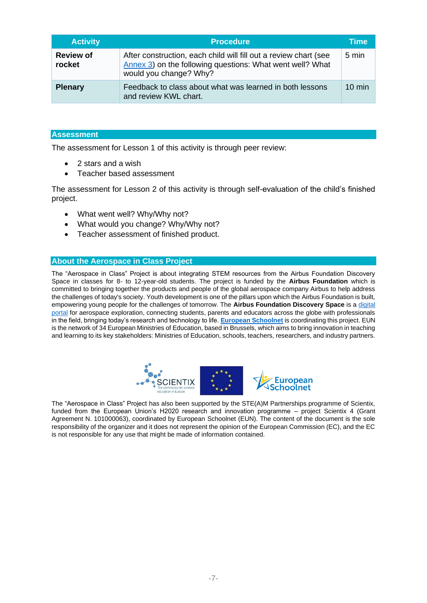| <b>Activity</b>            | <b>Procedure</b>                                                                                                                                        | Time             |
|----------------------------|---------------------------------------------------------------------------------------------------------------------------------------------------------|------------------|
| <b>Review of</b><br>rocket | After construction, each child will fill out a review chart (see<br>Annex 3) on the following questions: What went well? What<br>would you change? Why? | 5 min            |
| <b>Plenary</b>             | Feedback to class about what was learned in both lessons<br>and review KWL chart.                                                                       | $10 \text{ min}$ |

#### **Assessment**

The assessment for Lesson 1 of this activity is through peer review:

- 2 stars and a wish
- Teacher based assessment

The assessment for Lesson 2 of this activity is through self-evaluation of the child's finished project.

- What went well? Why/Why not?
- What would you change? Why/Why not?
- Teacher assessment of finished product.

#### **About the Aerospace in Class Project**

The "Aerospace in Class" Project is about integrating STEM resources from the Airbus Foundation Discovery Space in classes for 8- to 12-year-old students. The project is funded by the **Airbus Foundation** which is committed to bringing together the products and people of the global aerospace company Airbus to help address the challenges of today's society. Youth development is one of the pillars upon which the Airbus Foundation is built, empowering young people for the challenges of tomorrow. The **Airbus Foundation Discovery Space** is a [digital](https://www.airbus.com/company/sustainability/airbus-foundation/discovery-space.html)  [portal](https://www.airbus.com/company/sustainability/airbus-foundation/discovery-space.html) for aerospace exploration, connecting students, parents and educators across the globe with professionals in the field, bringing today's research and technology to life. **[European Schoolnet](http://www.eun.org/)** is coordinating this project. EUN is the network of 34 European Ministries of Education, based in Brussels, which aims to bring innovation in teaching and learning to its key stakeholders: Ministries of Education, schools, teachers, researchers, and industry partners.



The "Aerospace in Class" Project has also been supported by the STE(A)M Partnerships programme of Scientix, funded from the European Union's H2020 research and innovation programme – project Scientix 4 (Grant Agreement N. 101000063), coordinated by European Schoolnet (EUN). The content of the document is the sole responsibility of the organizer and it does not represent the opinion of the European Commission (EC), and the EC is not responsible for any use that might be made of information contained.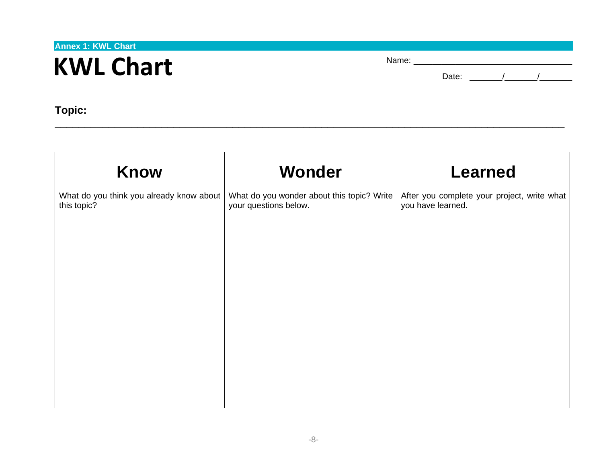**Annex 1: KWL Chart**

# **KWL Chart**

| Name:<br>_____ |  |  |  |
|----------------|--|--|--|
|                |  |  |  |

Date: \_\_\_\_\_\_\_/\_\_\_\_\_\_\_/\_\_\_\_\_\_\_

**Topic:** 

<span id="page-7-0"></span>

| <b>Wonder</b>                                                                                                   | <b>Learned</b>                                                   |
|-----------------------------------------------------------------------------------------------------------------|------------------------------------------------------------------|
| What do you think you already know about<br>What do you wonder about this topic? Write<br>your questions below. | After you complete your project, write what<br>you have learned. |
|                                                                                                                 |                                                                  |
|                                                                                                                 |                                                                  |
|                                                                                                                 |                                                                  |
|                                                                                                                 |                                                                  |
|                                                                                                                 |                                                                  |
|                                                                                                                 |                                                                  |
|                                                                                                                 |                                                                  |

**\_\_\_\_\_\_\_\_\_\_\_\_\_\_\_\_\_\_\_\_\_\_\_\_\_\_\_\_\_\_\_\_\_\_\_\_\_\_\_\_\_\_\_\_\_\_\_\_\_\_\_\_\_\_\_\_\_\_\_\_\_\_\_\_\_\_\_\_\_\_\_\_\_\_\_\_\_\_\_\_\_\_\_\_\_\_**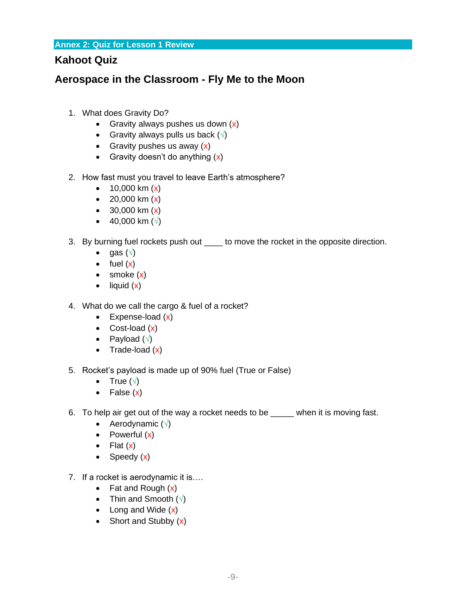**Annex 2: Quiz for Lesson 1 Review**

### **Kahoot Quiz**

### <span id="page-8-0"></span>**Aerospace in the Classroom - Fly Me to the Moon**

- 1. What does Gravity Do?
	- Gravity always pushes us down  $(x)$
	- Gravity always pulls us back  $(\sqrt)$
	- Gravity pushes us away  $(x)$
	- Gravity doesn't do anything  $(x)$
- 2. How fast must you travel to leave Earth's atmosphere?
	- $10,000 \text{ km } (x)$
	- 20,000 km  $(x)$
	- $30,000 \text{ km } (\text{x})$
	- 40,000 km  $(\sqrt{})$
- 3. By burning fuel rockets push out \_\_\_\_ to move the rocket in the opposite direction.
	- gas  $(\sqrt{)}$
	- $\bullet$  fuel  $(x)$
	- smoke (x)
	- $\bullet$  liquid  $(x)$
- 4. What do we call the cargo & fuel of a rocket?
	- Expense-load (x)
	- $\bullet$  Cost-load  $(x)$
	- Payload  $(\sqrt{2})$
	- Trade-load  $(x)$
- 5. Rocket's payload is made up of 90% fuel (True or False)
	- True  $(\sqrt{ } )$
	- False  $(x)$
- 6. To help air get out of the way a rocket needs to be \_\_\_\_\_ when it is moving fast.
	- Aerodynamic  $(\sqrt{)}$
	- Powerful  $(x)$
	- Flat  $(x)$
	- Speedy (x)
- 7. If a rocket is aerodynamic it is….
	- Fat and Rough  $(x)$
	- Thin and Smooth  $(\sqrt{)}$
	- Long and Wide  $(x)$
	- Short and Stubby  $(x)$